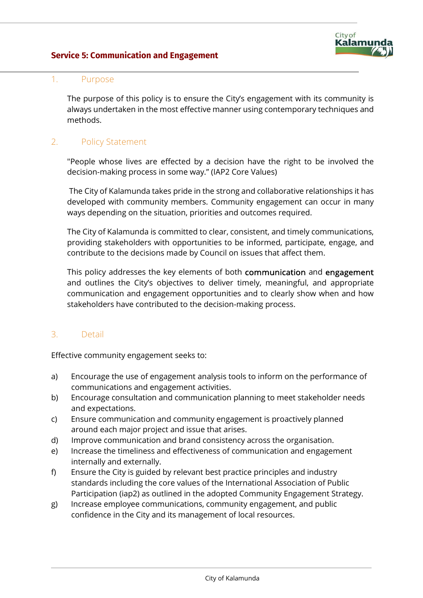## **Service 5: Communication and Engagement**



#### 1. Purpose

The purpose of this policy is to ensure the City's engagement with its community is always undertaken in the most effective manner using contemporary techniques and methods.

## 2. Policy Statement

"People whose lives are effected by a decision have the right to be involved the decision-making process in some way." (IAP2 Core Values)

The City of Kalamunda takes pride in the strong and collaborative relationships it has developed with community members. Community engagement can occur in many ways depending on the situation, priorities and outcomes required.

The City of Kalamunda is committed to clear, consistent, and timely communications, providing stakeholders with opportunities to be informed, participate, engage, and contribute to the decisions made by Council on issues that affect them.

This policy addresses the key elements of both communication and engagement and outlines the City's objectives to deliver timely, meaningful, and appropriate communication and engagement opportunities and to clearly show when and how stakeholders have contributed to the decision-making process.

#### 3. Detail

Effective community engagement seeks to:

- a) Encourage the use of engagement analysis tools to inform on the performance of communications and engagement activities.
- b) Encourage consultation and communication planning to meet stakeholder needs and expectations.
- c) Ensure communication and community engagement is proactively planned around each major project and issue that arises.
- d) Improve communication and brand consistency across the organisation.
- e) Increase the timeliness and effectiveness of communication and engagement internally and externally.
- f) Ensure the City is guided by relevant best practice principles and industry standards including the core values of the International Association of Public Participation (iap2) as outlined in the adopted Community Engagement Strategy.
- g) Increase employee communications, community engagement, and public confidence in the City and its management of local resources.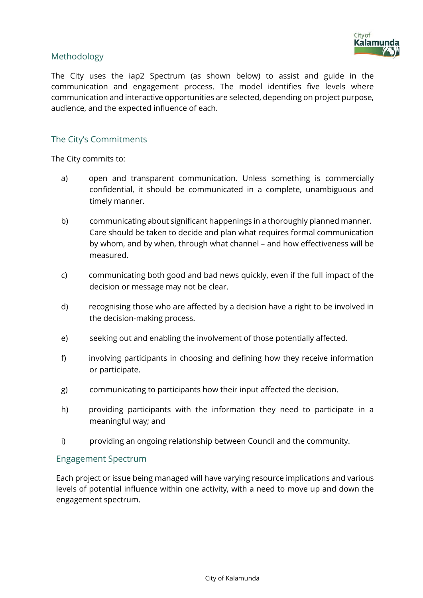

## Methodology

The City uses the iap2 Spectrum (as shown below) to assist and guide in the communication and engagement process. The model identifies five levels where communication and interactive opportunities are selected, depending on project purpose, audience, and the expected influence of each.

### The City's Commitments

The City commits to:

- a) open and transparent communication. Unless something is commercially confidential, it should be communicated in a complete, unambiguous and timely manner.
- b) communicating about significant happenings in a thoroughly planned manner. Care should be taken to decide and plan what requires formal communication by whom, and by when, through what channel – and how effectiveness will be measured.
- c) communicating both good and bad news quickly, even if the full impact of the decision or message may not be clear.
- d) recognising those who are affected by a decision have a right to be involved in the decision-making process.
- e) seeking out and enabling the involvement of those potentially affected.
- f) involving participants in choosing and defining how they receive information or participate.
- g) communicating to participants how their input affected the decision.
- h) providing participants with the information they need to participate in a meaningful way; and
- i) providing an ongoing relationship between Council and the community.

#### Engagement Spectrum

Each project or issue being managed will have varying resource implications and various levels of potential influence within one activity, with a need to move up and down the engagement spectrum.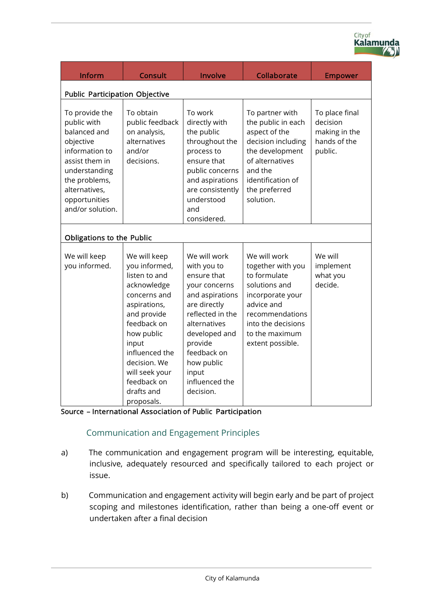| Inform                                                                                                                                                                                 | <b>Consult</b>                                                                                                                                                                                                                                    | Involve                                                                                                                                                                                                                             | Collaborate                                                                                                                                                                         | <b>Empower</b>                                                         |  |
|----------------------------------------------------------------------------------------------------------------------------------------------------------------------------------------|---------------------------------------------------------------------------------------------------------------------------------------------------------------------------------------------------------------------------------------------------|-------------------------------------------------------------------------------------------------------------------------------------------------------------------------------------------------------------------------------------|-------------------------------------------------------------------------------------------------------------------------------------------------------------------------------------|------------------------------------------------------------------------|--|
| <b>Public Participation Objective</b>                                                                                                                                                  |                                                                                                                                                                                                                                                   |                                                                                                                                                                                                                                     |                                                                                                                                                                                     |                                                                        |  |
| To provide the<br>public with<br>balanced and<br>objective<br>information to<br>assist them in<br>understanding<br>the problems,<br>alternatives,<br>opportunities<br>and/or solution. | To obtain<br>public feedback<br>on analysis,<br>alternatives<br>and/or<br>decisions.                                                                                                                                                              | To work<br>directly with<br>the public<br>throughout the<br>process to<br>ensure that<br>public concerns<br>and aspirations<br>are consistently<br>understood<br>and<br>considered.                                                 | To partner with<br>the public in each<br>aspect of the<br>decision including<br>the development<br>of alternatives<br>and the<br>identification of<br>the preferred<br>solution.    | To place final<br>decision<br>making in the<br>hands of the<br>public. |  |
| <b>Obligations to the Public</b>                                                                                                                                                       |                                                                                                                                                                                                                                                   |                                                                                                                                                                                                                                     |                                                                                                                                                                                     |                                                                        |  |
| We will keep<br>you informed.                                                                                                                                                          | We will keep<br>you informed,<br>listen to and<br>acknowledge<br>concerns and<br>aspirations,<br>and provide<br>feedback on<br>how public<br>input<br>influenced the<br>decision. We<br>will seek your<br>feedback on<br>drafts and<br>proposals. | We will work<br>with you to<br>ensure that<br>your concerns<br>and aspirations<br>are directly<br>reflected in the<br>alternatives<br>developed and<br>provide<br>feedback on<br>how public<br>input<br>influenced the<br>decision. | We will work<br>together with you<br>to formulate<br>solutions and<br>incorporate your<br>advice and<br>recommendations<br>into the decisions<br>to the maximum<br>extent possible. | We will<br>implement<br>what you<br>decide.                            |  |

City of<br>**Kalamunda** 

Source – International Association of Public Participation

# Communication and Engagement Principles

- a) The communication and engagement program will be interesting, equitable, inclusive, adequately resourced and specifically tailored to each project or issue.
- b) Communication and engagement activity will begin early and be part of project scoping and milestones identification, rather than being a one-off event or undertaken after a final decision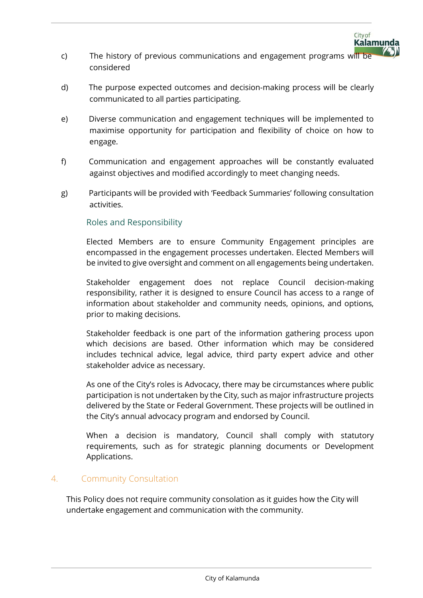

- c) The history of previous communications and engagement programs will be considered
- d) The purpose expected outcomes and decision-making process will be clearly communicated to all parties participating.
- e) Diverse communication and engagement techniques will be implemented to maximise opportunity for participation and flexibility of choice on how to engage.
- f) Communication and engagement approaches will be constantly evaluated against objectives and modified accordingly to meet changing needs.
- g) Participants will be provided with 'Feedback Summaries' following consultation activities.

## Roles and Responsibility

Elected Members are to ensure Community Engagement principles are encompassed in the engagement processes undertaken. Elected Members will be invited to give oversight and comment on all engagements being undertaken.

Stakeholder engagement does not replace Council decision-making responsibility, rather it is designed to ensure Council has access to a range of information about stakeholder and community needs, opinions, and options, prior to making decisions.

Stakeholder feedback is one part of the information gathering process upon which decisions are based. Other information which may be considered includes technical advice, legal advice, third party expert advice and other stakeholder advice as necessary.

As one of the City's roles is Advocacy, there may be circumstances where public participation is not undertaken by the City, such as major infrastructure projects delivered by the State or Federal Government. These projects will be outlined in the City's annual advocacy program and endorsed by Council.

When a decision is mandatory, Council shall comply with statutory requirements, such as for strategic planning documents or Development Applications.

## 4. Community Consultation

This Policy does not require community consolation as it guides how the City will undertake engagement and communication with the community.